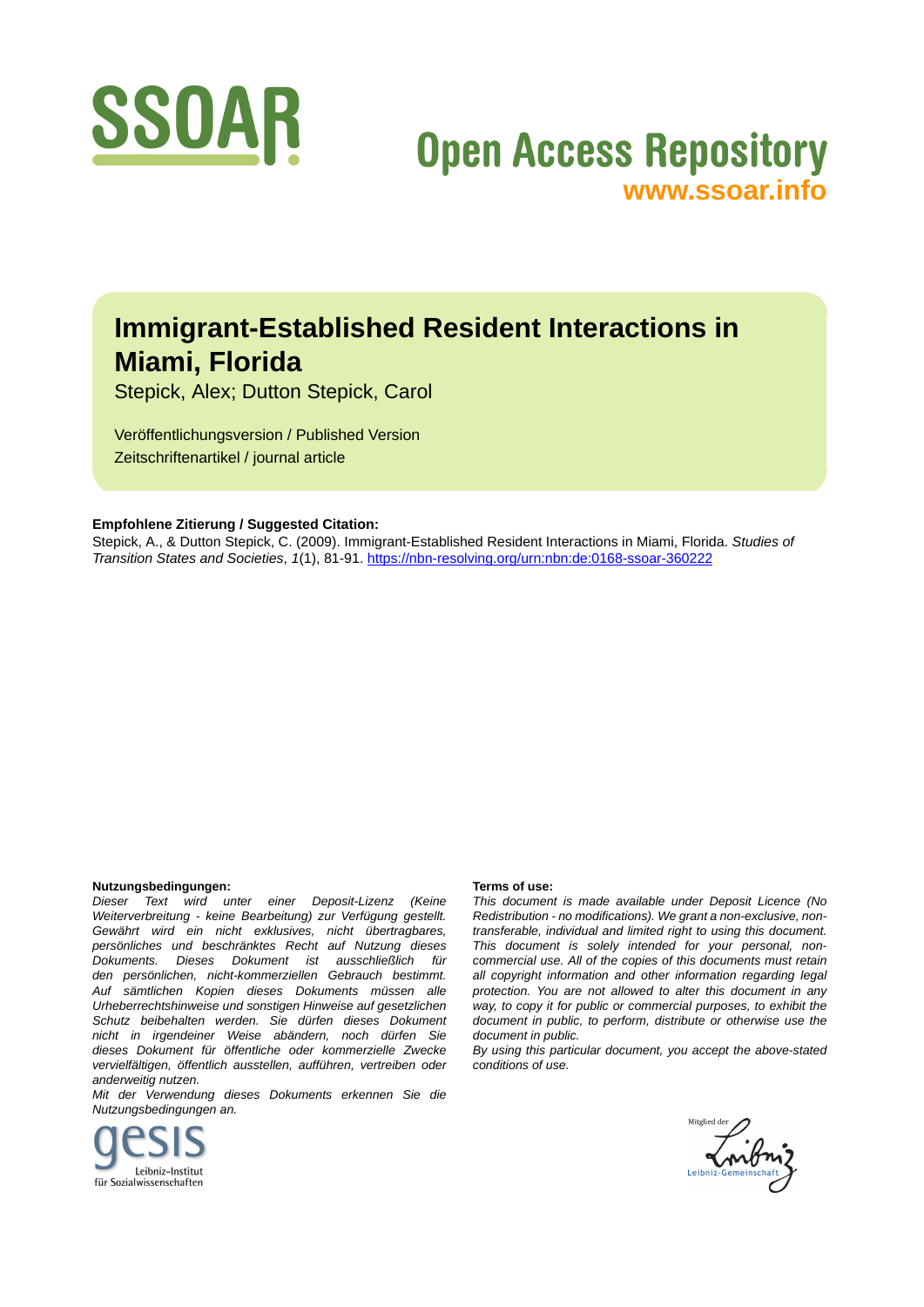

# **Open Access Repository [www.ssoar.info](http://www.ssoar.info)**

## **Immigrant-Established Resident Interactions in Miami, Florida**

Stepick, Alex; Dutton Stepick, Carol

Veröffentlichungsversion / Published Version Zeitschriftenartikel / journal article

## **Empfohlene Zitierung / Suggested Citation:**

Stepick, A., & Dutton Stepick, C. (2009). Immigrant-Established Resident Interactions in Miami, Florida. *Studies of Transition States and Societies*, *1*(1), 81-91. <https://nbn-resolving.org/urn:nbn:de:0168-ssoar-360222>

#### **Nutzungsbedingungen:**

*Dieser Text wird unter einer Deposit-Lizenz (Keine Weiterverbreitung - keine Bearbeitung) zur Verfügung gestellt. Gewährt wird ein nicht exklusives, nicht übertragbares, persönliches und beschränktes Recht auf Nutzung dieses Dokuments. Dieses Dokument ist ausschließlich für den persönlichen, nicht-kommerziellen Gebrauch bestimmt. Auf sämtlichen Kopien dieses Dokuments müssen alle Urheberrechtshinweise und sonstigen Hinweise auf gesetzlichen Schutz beibehalten werden. Sie dürfen dieses Dokument nicht in irgendeiner Weise abändern, noch dürfen Sie dieses Dokument für öffentliche oder kommerzielle Zwecke vervielfältigen, öffentlich ausstellen, aufführen, vertreiben oder anderweitig nutzen.*

*Mit der Verwendung dieses Dokuments erkennen Sie die Nutzungsbedingungen an.*



#### **Terms of use:**

*This document is made available under Deposit Licence (No Redistribution - no modifications). We grant a non-exclusive, nontransferable, individual and limited right to using this document. This document is solely intended for your personal, noncommercial use. All of the copies of this documents must retain all copyright information and other information regarding legal protection. You are not allowed to alter this document in any way, to copy it for public or commercial purposes, to exhibit the document in public, to perform, distribute or otherwise use the document in public.*

*By using this particular document, you accept the above-stated conditions of use.*

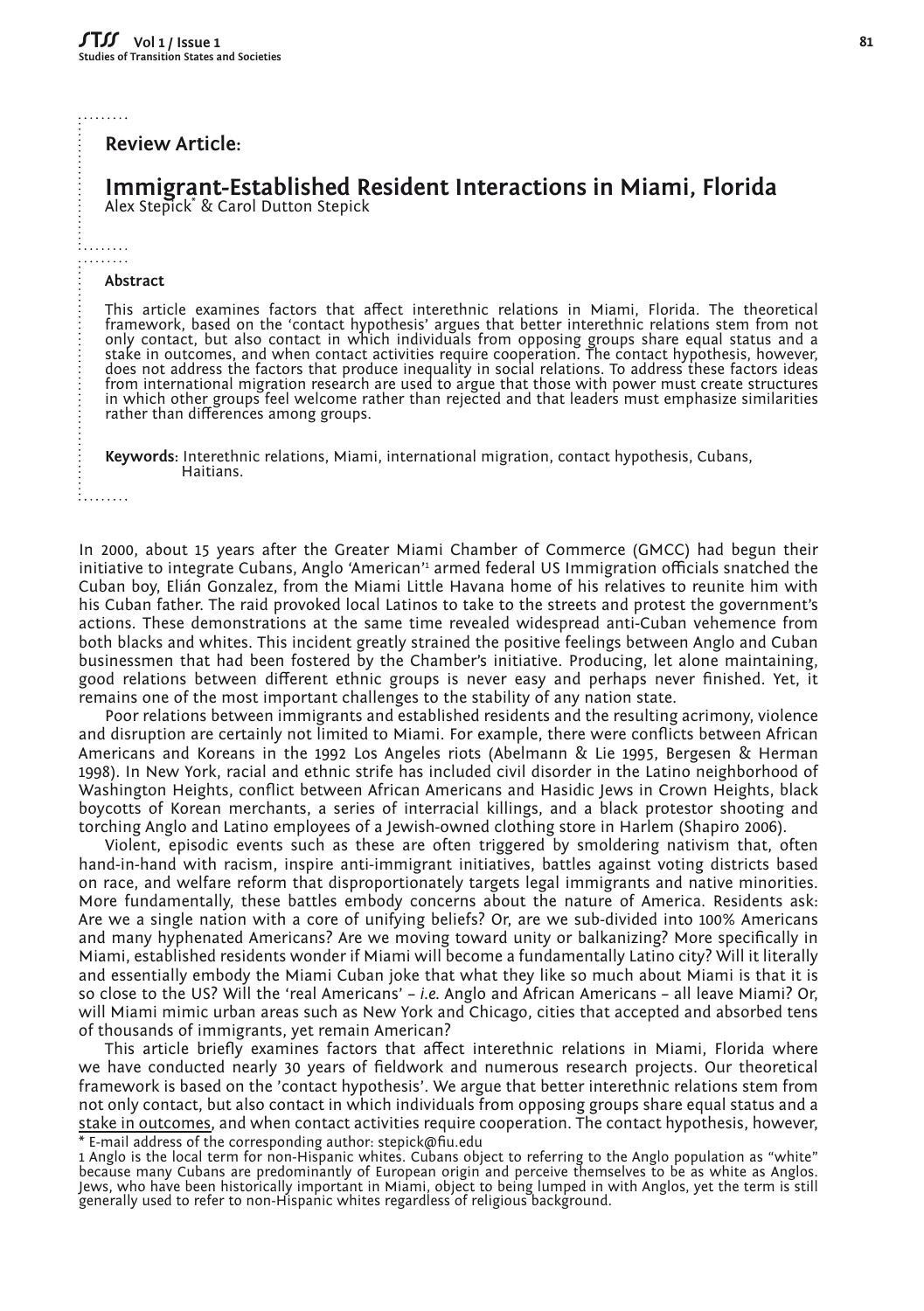. . . . . . . .

#### **Review Article:**

## **Immigrant-Established Resident Interactions in Miami, Florida** Alex Stepick\* & Carol Dutton Stepick

. . . . . . . . . .. . . . . . . .

#### **Abstract**

This article examines factors that affect interethnic relations in Miami, Florida. The theoretical framework, based on the 'contact hypothesis' argues that better interethnic relations stem from not only contact, but also contact in which individuals from opposing groups share equal status and a<br>stake in outcomes, and when contact activities require cooperation. The contact hypothesis, however,<br>does not address the fa from international migration research are used to argue that those with power must create structures in which other groups feel welcome rather than rejected and that leaders must emphasize similarities rather than differences among groups.

**Keywords:** Interethnic relations, Miami, international migration, contact hypothesis, Cubans, Haitians.

i. . . . . . . .

In 2000, about 15 years after the Greater Miami Chamber of Commerce (GMCC) had begun their initiative to integrate Cubans, Anglo 'American'1 armed federal US Immigration officials snatched the Cuban boy, Elián Gonzalez, from the Miami Little Havana home of his relatives to reunite him with his Cuban father. The raid provoked local Latinos to take to the streets and protest the government's actions. These demonstrations at the same time revealed widespread anti-Cuban vehemence from both blacks and whites. This incident greatly strained the positive feelings between Anglo and Cuban businessmen that had been fostered by the Chamber's initiative. Producing, let alone maintaining, good relations between different ethnic groups is never easy and perhaps never finished. Yet, it remains one of the most important challenges to the stability of any nation state.

Poor relations between immigrants and established residents and the resulting acrimony, violence and disruption are certainly not limited to Miami. For example, there were conflicts between African Americans and Koreans in the 1992 Los Angeles riots (Abelmann & Lie 1995, Bergesen & Herman 1998). In New York, racial and ethnic strife has included civil disorder in the Latino neighborhood of Washington Heights, conflict between African Americans and Hasidic Jews in Crown Heights, black boycotts of Korean merchants, a series of interracial killings, and a black protestor shooting and torching Anglo and Latino employees of a Jewish-owned clothing store in Harlem (Shapiro 2006).

Violent, episodic events such as these are often triggered by smoldering nativism that, often hand-in-hand with racism, inspire anti-immigrant initiatives, battles against voting districts based on race, and welfare reform that disproportionately targets legal immigrants and native minorities. More fundamentally, these battles embody concerns about the nature of America. Residents ask: Are we a single nation with a core of unifying beliefs? Or, are we sub-divided into 100% Americans and many hyphenated Americans? Are we moving toward unity or balkanizing? More specifically in Miami, established residents wonder if Miami will become a fundamentally Latino city? Will it literally and essentially embody the Miami Cuban joke that what they like so much about Miami is that it is so close to the US? Will the 'real Americans' – *i.e.* Anglo and African Americans – all leave Miami? Or, will Miami mimic urban areas such as New York and Chicago, cities that accepted and absorbed tens of thousands of immigrants, yet remain American?

This article briefly examines factors that affect interethnic relations in Miami, Florida where we have conducted nearly 30 years of fieldwork and numerous research projects. Our theoretical framework is based on the 'contact hypothesis'. We argue that better interethnic relations stem from not only contact, but also contact in which individuals from opposing groups share equal status and a stake in outcomes, and when contact activities require cooperation. The contact hypothesis, however, \* E-mail address of the corresponding author: stepick@fiu.edu

1 Anglo is the local term for non-Hispanic whites. Cubans object to referring to the Anglo population as "white" because many Cubans are predominantly of European origin and perceive themselves to be as white as Anglos. Jews, who have been historically important in Miami, object to being lumped in with Anglos, yet the term is still generally used to refer to non-Hispanic whites regardless of religious background.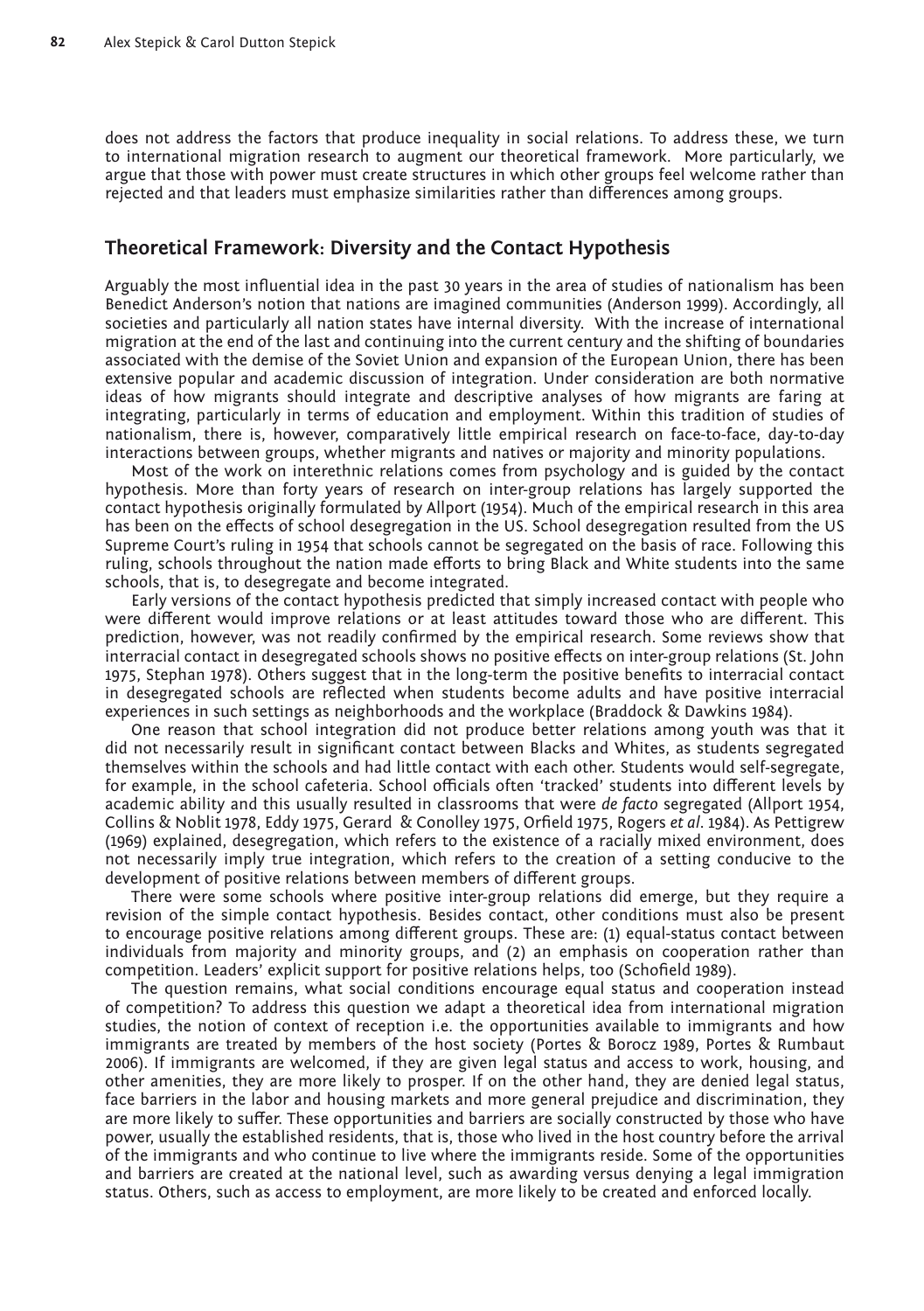does not address the factors that produce inequality in social relations. To address these, we turn to international migration research to augment our theoretical framework. More particularly, we argue that those with power must create structures in which other groups feel welcome rather than rejected and that leaders must emphasize similarities rather than differences among groups.

## **Theoretical Framework: Diversity and the Contact Hypothesis**

Arguably the most influential idea in the past 30 years in the area of studies of nationalism has been Benedict Anderson's notion that nations are imagined communities (Anderson 1999). Accordingly, all societies and particularly all nation states have internal diversity. With the increase of international migration at the end of the last and continuing into the current century and the shifting of boundaries associated with the demise of the Soviet Union and expansion of the European Union, there has been extensive popular and academic discussion of integration. Under consideration are both normative ideas of how migrants should integrate and descriptive analyses of how migrants are faring at integrating, particularly in terms of education and employment. Within this tradition of studies of nationalism, there is, however, comparatively little empirical research on face-to-face, day-to-day interactions between groups, whether migrants and natives or majority and minority populations.

Most of the work on interethnic relations comes from psychology and is guided by the contact hypothesis. More than forty years of research on inter-group relations has largely supported the contact hypothesis originally formulated by Allport (1954). Much of the empirical research in this area has been on the effects of school desegregation in the US. School desegregation resulted from the US Supreme Court's ruling in 1954 that schools cannot be segregated on the basis of race. Following this ruling, schools throughout the nation made efforts to bring Black and White students into the same schools, that is, to desegregate and become integrated.

Early versions of the contact hypothesis predicted that simply increased contact with people who were different would improve relations or at least attitudes toward those who are different. This prediction, however, was not readily confirmed by the empirical research. Some reviews show that interracial contact in desegregated schools shows no positive effects on inter-group relations (St. John 1975, Stephan 1978). Others suggest that in the long-term the positive benefits to interracial contact in desegregated schools are reflected when students become adults and have positive interracial experiences in such settings as neighborhoods and the workplace (Braddock & Dawkins 1984).

One reason that school integration did not produce better relations among youth was that it did not necessarily result in significant contact between Blacks and Whites, as students segregated themselves within the schools and had little contact with each other. Students would self-segregate, for example, in the school cafeteria. School officials often 'tracked' students into different levels by academic ability and this usually resulted in classrooms that were *de facto* segregated (Allport 1954, Collins & Noblit 1978, Eddy 1975, Gerard & Conolley 1975, Orfield 1975, Rogers *et al*. 1984). As Pettigrew (1969) explained, desegregation, which refers to the existence of a racially mixed environment, does not necessarily imply true integration, which refers to the creation of a setting conducive to the development of positive relations between members of different groups.

There were some schools where positive inter-group relations did emerge, but they require a revision of the simple contact hypothesis. Besides contact, other conditions must also be present to encourage positive relations among different groups. These are: (1) equal-status contact between individuals from majority and minority groups, and (2) an emphasis on cooperation rather than competition. Leaders' explicit support for positive relations helps, too (Schofield 1989).

The question remains, what social conditions encourage equal status and cooperation instead of competition? To address this question we adapt a theoretical idea from international migration studies, the notion of context of reception i.e. the opportunities available to immigrants and how immigrants are treated by members of the host society (Portes & Borocz 1989, Portes & Rumbaut 2006). If immigrants are welcomed, if they are given legal status and access to work, housing, and other amenities, they are more likely to prosper. If on the other hand, they are denied legal status, face barriers in the labor and housing markets and more general prejudice and discrimination, they are more likely to suffer. These opportunities and barriers are socially constructed by those who have power, usually the established residents, that is, those who lived in the host country before the arrival of the immigrants and who continue to live where the immigrants reside. Some of the opportunities and barriers are created at the national level, such as awarding versus denying a legal immigration status. Others, such as access to employment, are more likely to be created and enforced locally.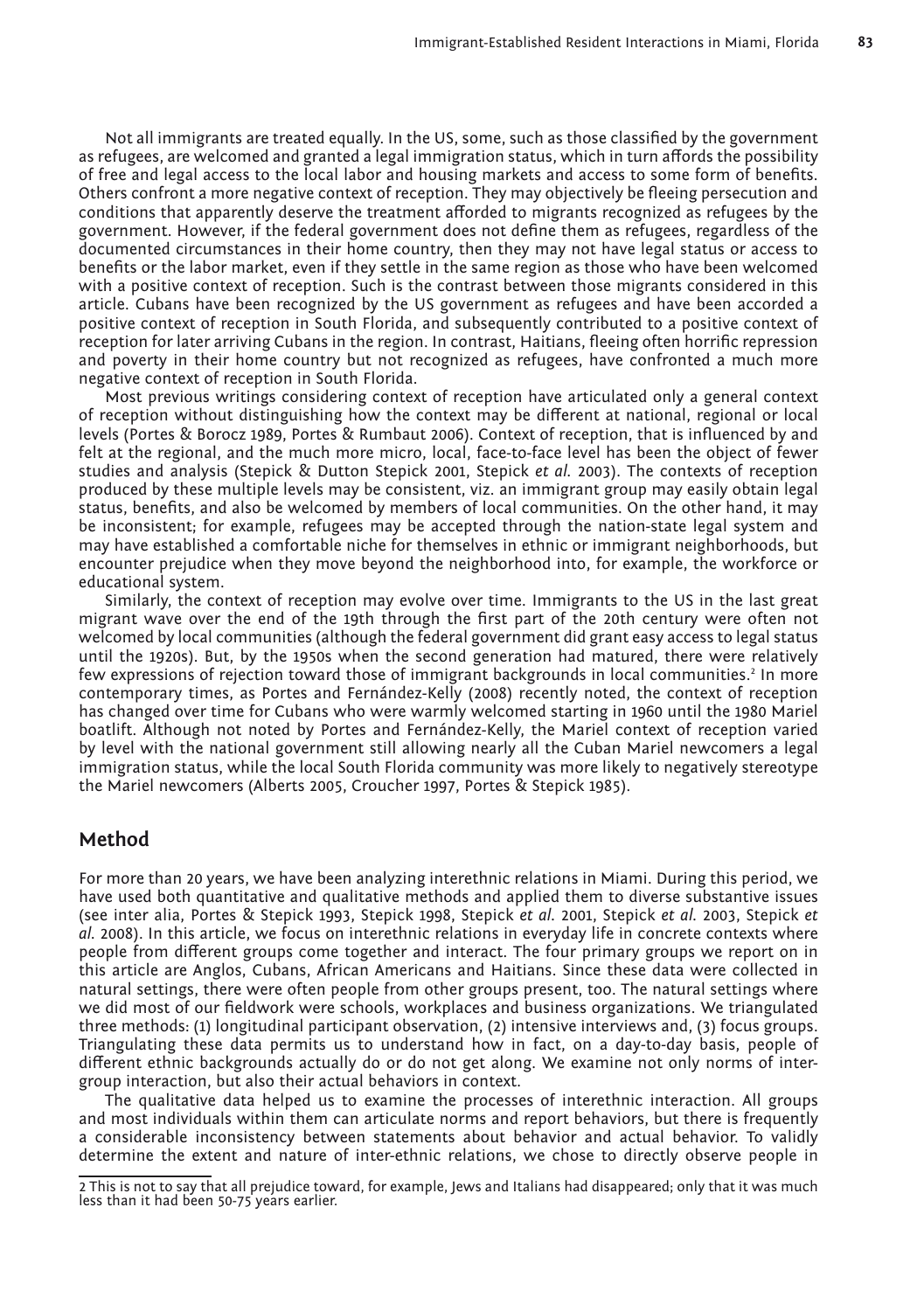Not all immigrants are treated equally. In the US, some, such as those classified by the government as refugees, are welcomed and granted a legal immigration status, which in turn affords the possibility of free and legal access to the local labor and housing markets and access to some form of benefits. Others confront a more negative context of reception. They may objectively be fleeing persecution and conditions that apparently deserve the treatment afforded to migrants recognized as refugees by the government. However, if the federal government does not define them as refugees, regardless of the documented circumstances in their home country, then they may not have legal status or access to benefits or the labor market, even if they settle in the same region as those who have been welcomed with a positive context of reception. Such is the contrast between those migrants considered in this article. Cubans have been recognized by the US government as refugees and have been accorded a positive context of reception in South Florida, and subsequently contributed to a positive context of reception for later arriving Cubans in the region. In contrast, Haitians, fleeing often horrific repression and poverty in their home country but not recognized as refugees, have confronted a much more negative context of reception in South Florida.

Most previous writings considering context of reception have articulated only a general context of reception without distinguishing how the context may be different at national, regional or local levels (Portes & Borocz 1989, Portes & Rumbaut 2006). Context of reception, that is influenced by and felt at the regional, and the much more micro, local, face-to-face level has been the object of fewer studies and analysis (Stepick & Dutton Stepick 2001, Stepick *et al.* 2003). The contexts of reception produced by these multiple levels may be consistent, viz. an immigrant group may easily obtain legal status, benefits, and also be welcomed by members of local communities. On the other hand, it may be inconsistent; for example, refugees may be accepted through the nation-state legal system and may have established a comfortable niche for themselves in ethnic or immigrant neighborhoods, but encounter prejudice when they move beyond the neighborhood into, for example, the workforce or educational system.

Similarly, the context of reception may evolve over time. Immigrants to the US in the last great migrant wave over the end of the 19th through the first part of the 20th century were often not welcomed by local communities (although the federal government did grant easy access to legal status until the 1920s). But, by the 1950s when the second generation had matured, there were relatively few expressions of rejection toward those of immigrant backgrounds in local communities.<sup>2</sup> In more contemporary times, as Portes and Fernández-Kelly (2008) recently noted, the context of reception has changed over time for Cubans who were warmly welcomed starting in 1960 until the 1980 Mariel boatlift. Although not noted by Portes and Fernández-Kelly, the Mariel context of reception varied by level with the national government still allowing nearly all the Cuban Mariel newcomers a legal immigration status, while the local South Florida community was more likely to negatively stereotype the Mariel newcomers (Alberts 2005, Croucher 1997, Portes & Stepick 1985).

## **Method**

For more than 20 years, we have been analyzing interethnic relations in Miami. During this period, we have used both quantitative and qualitative methods and applied them to diverse substantive issues (see inter alia, Portes & Stepick 1993, Stepick 1998, Stepick *et al.* 2001, Stepick *et al.* 2003, Stepick *et al.* 2008). In this article, we focus on interethnic relations in everyday life in concrete contexts where people from different groups come together and interact. The four primary groups we report on in this article are Anglos, Cubans, African Americans and Haitians. Since these data were collected in natural settings, there were often people from other groups present, too. The natural settings where we did most of our fieldwork were schools, workplaces and business organizations. We triangulated three methods: (1) longitudinal participant observation, (2) intensive interviews and, (3) focus groups. Triangulating these data permits us to understand how in fact, on a day-to-day basis, people of different ethnic backgrounds actually do or do not get along. We examine not only norms of intergroup interaction, but also their actual behaviors in context.

The qualitative data helped us to examine the processes of interethnic interaction. All groups and most individuals within them can articulate norms and report behaviors, but there is frequently a considerable inconsistency between statements about behavior and actual behavior. To validly determine the extent and nature of inter-ethnic relations, we chose to directly observe people in

<sup>2</sup> This is not to say that all prejudice toward, for example, Jews and Italians had disappeared; only that it was much less than it had been 50-75 years earlier.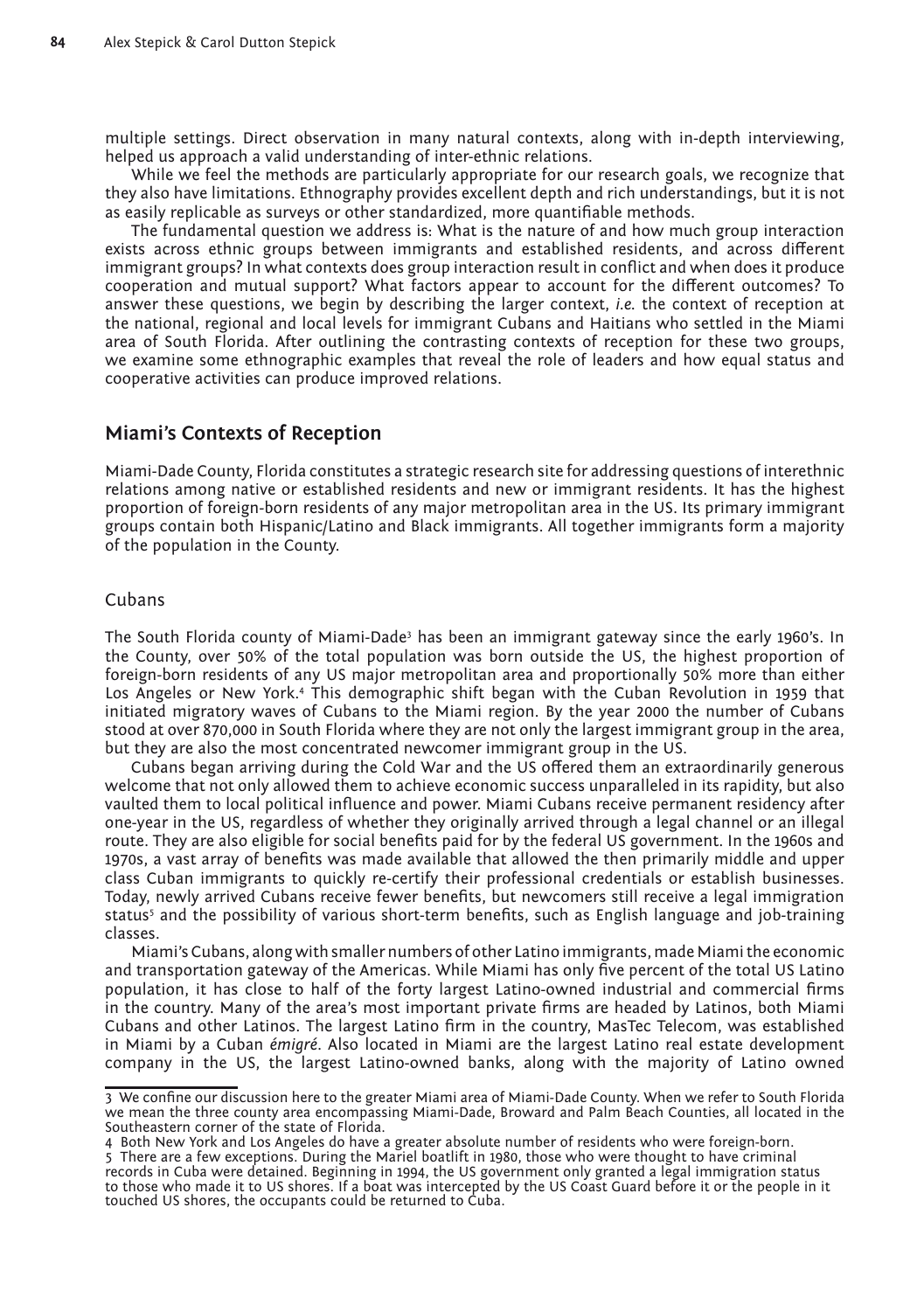multiple settings. Direct observation in many natural contexts, along with in-depth interviewing, helped us approach a valid understanding of inter-ethnic relations.

While we feel the methods are particularly appropriate for our research goals, we recognize that they also have limitations. Ethnography provides excellent depth and rich understandings, but it is not as easily replicable as surveys or other standardized, more quantifiable methods.

The fundamental question we address is: What is the nature of and how much group interaction exists across ethnic groups between immigrants and established residents, and across different immigrant groups? In what contexts does group interaction result in conflict and when does it produce cooperation and mutual support? What factors appear to account for the different outcomes? To answer these questions, we begin by describing the larger context, *i.e.* the context of reception at the national, regional and local levels for immigrant Cubans and Haitians who settled in the Miami area of South Florida. After outlining the contrasting contexts of reception for these two groups, we examine some ethnographic examples that reveal the role of leaders and how equal status and cooperative activities can produce improved relations.

## **Miami's Contexts of Reception**

Miami-Dade County, Florida constitutes a strategic research site for addressing questions of interethnic relations among native or established residents and new or immigrant residents. It has the highest proportion of foreign-born residents of any major metropolitan area in the US. Its primary immigrant groups contain both Hispanic/Latino and Black immigrants. All together immigrants form a majority of the population in the County.

### Cubans

The South Florida county of Miami-Dade $^{\rm 3}$  has been an immigrant gateway since the early 1960's. In the County, over 50% of the total population was born outside the US, the highest proportion of foreign-born residents of any US major metropolitan area and proportionally 50% more than either Los Angeles or New York.4 This demographic shift began with the Cuban Revolution in 1959 that initiated migratory waves of Cubans to the Miami region. By the year 2000 the number of Cubans stood at over 870,000 in South Florida where they are not only the largest immigrant group in the area, but they are also the most concentrated newcomer immigrant group in the US.

Cubans began arriving during the Cold War and the US offered them an extraordinarily generous welcome that not only allowed them to achieve economic success unparalleled in its rapidity, but also vaulted them to local political influence and power. Miami Cubans receive permanent residency after one-year in the US, regardless of whether they originally arrived through a legal channel or an illegal route. They are also eligible for social benefits paid for by the federal US government. In the 1960s and 1970s, a vast array of benefits was made available that allowed the then primarily middle and upper class Cuban immigrants to quickly re-certify their professional credentials or establish businesses. Today, newly arrived Cubans receive fewer benefits, but newcomers still receive a legal immigration status<sup>5</sup> and the possibility of various short-term benefits, such as English language and job-training classes.

Miami's Cubans, along with smaller numbers of other Latino immigrants, made Miami the economic and transportation gateway of the Americas. While Miami has only five percent of the total US Latino population, it has close to half of the forty largest Latino-owned industrial and commercial firms in the country. Many of the area's most important private firms are headed by Latinos, both Miami Cubans and other Latinos. The largest Latino firm in the country, MasTec Telecom, was established in Miami by a Cuban *émigré*. Also located in Miami are the largest Latino real estate development company in the US, the largest Latino-owned banks, along with the majority of Latino owned

<sup>3</sup> We confine our discussion here to the greater Miami area of Miami-Dade County. When we refer to South Florida we mean the three county area encompassing Miami-Dade, Broward and Palm Beach Counties, all located in the Southeastern corner of the state of Florida.

<sup>4</sup> Both New York and Los Angeles do have a greater absolute number of residents who were foreign-born.

<sup>5</sup> There are a few exceptions. During the Mariel boatlift in 1980, those who were thought to have criminal records in Cuba were detained. Beginning in 1994, the US government only granted a legal immigration status to those who made it to US shores. If a boat was intercepted by the US Coast Guard before it or the people in it touched US shores, the occupants could be returned to Cuba.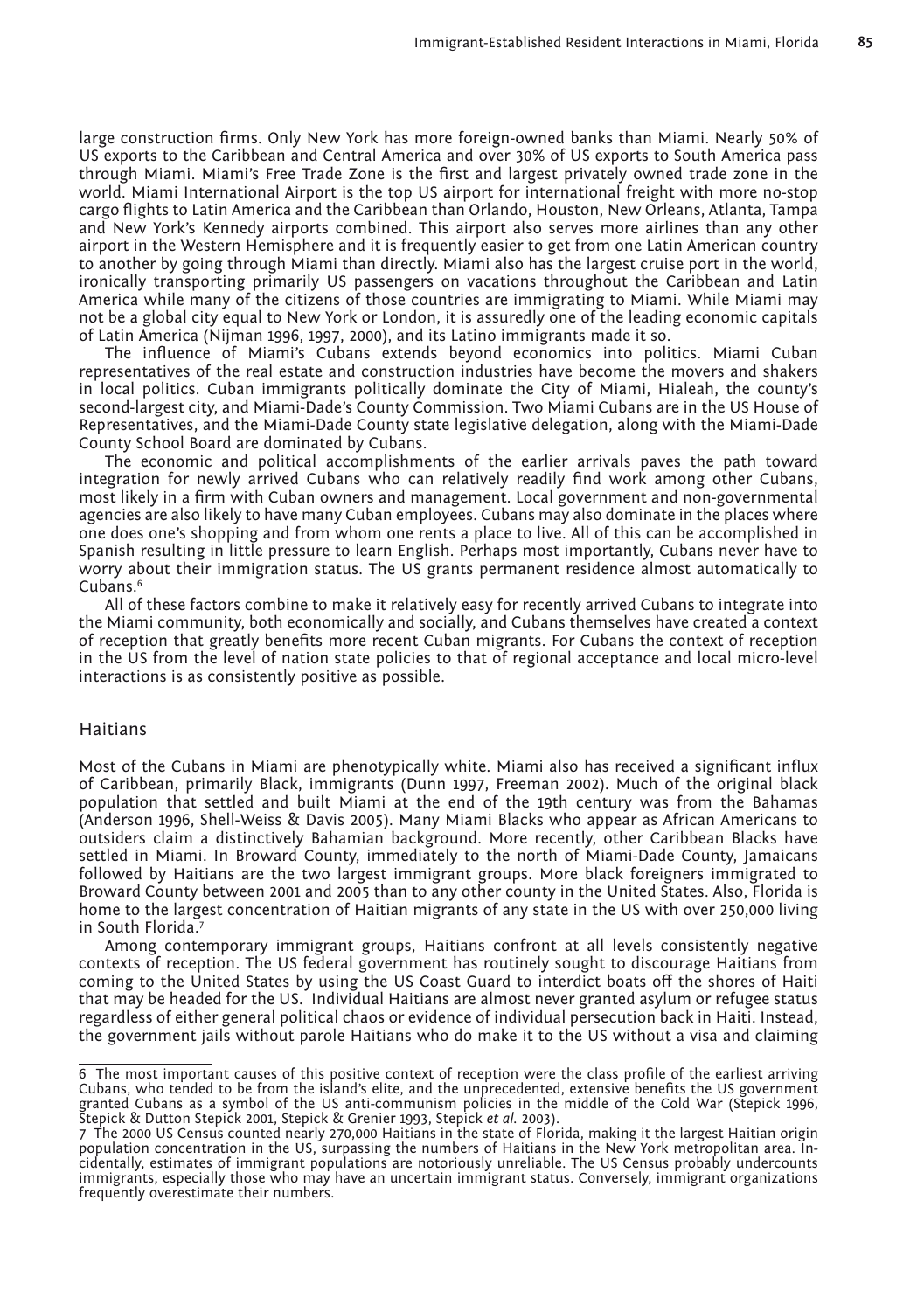large construction firms. Only New York has more foreign-owned banks than Miami. Nearly 50% of US exports to the Caribbean and Central America and over 30% of US exports to South America pass through Miami. Miami's Free Trade Zone is the first and largest privately owned trade zone in the world. Miami International Airport is the top US airport for international freight with more no-stop cargo flights to Latin America and the Caribbean than Orlando, Houston, New Orleans, Atlanta, Tampa and New York's Kennedy airports combined. This airport also serves more airlines than any other airport in the Western Hemisphere and it is frequently easier to get from one Latin American country to another by going through Miami than directly. Miami also has the largest cruise port in the world, ironically transporting primarily US passengers on vacations throughout the Caribbean and Latin America while many of the citizens of those countries are immigrating to Miami. While Miami may not be a global city equal to New York or London, it is assuredly one of the leading economic capitals of Latin America (Nijman 1996, 1997, 2000), and its Latino immigrants made it so.

The influence of Miami's Cubans extends beyond economics into politics. Miami Cuban representatives of the real estate and construction industries have become the movers and shakers in local politics. Cuban immigrants politically dominate the City of Miami, Hialeah, the county's second-largest city, and Miami-Dade's County Commission. Two Miami Cubans are in the US House of Representatives, and the Miami-Dade County state legislative delegation, along with the Miami-Dade County School Board are dominated by Cubans.

The economic and political accomplishments of the earlier arrivals paves the path toward integration for newly arrived Cubans who can relatively readily find work among other Cubans, most likely in a firm with Cuban owners and management. Local government and non-governmental agencies are also likely to have many Cuban employees. Cubans may also dominate in the places where one does one's shopping and from whom one rents a place to live. All of this can be accomplished in Spanish resulting in little pressure to learn English. Perhaps most importantly, Cubans never have to worry about their immigration status. The US grants permanent residence almost automatically to Cubans.6

All of these factors combine to make it relatively easy for recently arrived Cubans to integrate into the Miami community, both economically and socially, and Cubans themselves have created a context of reception that greatly benefits more recent Cuban migrants. For Cubans the context of reception in the US from the level of nation state policies to that of regional acceptance and local micro-level interactions is as consistently positive as possible.

#### Haitians

Most of the Cubans in Miami are phenotypically white. Miami also has received a significant influx of Caribbean, primarily Black, immigrants (Dunn 1997, Freeman 2002). Much of the original black population that settled and built Miami at the end of the 19th century was from the Bahamas (Anderson 1996, Shell-Weiss & Davis 2005). Many Miami Blacks who appear as African Americans to outsiders claim a distinctively Bahamian background. More recently, other Caribbean Blacks have settled in Miami. In Broward County, immediately to the north of Miami-Dade County, Jamaicans followed by Haitians are the two largest immigrant groups. More black foreigners immigrated to Broward County between 2001 and 2005 than to any other county in the United States. Also, Florida is home to the largest concentration of Haitian migrants of any state in the US with over 250,000 living in South Florida.7

Among contemporary immigrant groups, Haitians confront at all levels consistently negative contexts of reception. The US federal government has routinely sought to discourage Haitians from coming to the United States by using the US Coast Guard to interdict boats off the shores of Haiti that may be headed for the US. Individual Haitians are almost never granted asylum or refugee status regardless of either general political chaos or evidence of individual persecution back in Haiti. Instead, the government jails without parole Haitians who do make it to the US without a visa and claiming

<sup>6</sup> The most important causes of this positive context of reception were the class profile of the earliest arriving Cubans, who tended to be from the island's elite, and the unprecedented, extensive benefits the US government granted Cubans as a symbol of the US anti-communism policies in the middle of the Cold War (Stepick 1996, Stepick & Dutton Stepick 2001, Stepick & Grenier 1993, Stepick *et al.* 2003).

<sup>7</sup> The 2000 US Census counted nearly 270,000 Haitians in the state of Florida, making it the largest Haitian origin population concentration in the US, surpassing the numbers of Haitians in the New York metropolitan area. Incidentally, estimates of immigrant populations are notoriously unreliable. The US Census probably undercounts immigrants, especially those who may have an uncertain immigrant status. Conversely, immigrant organizations frequently overestimate their numbers.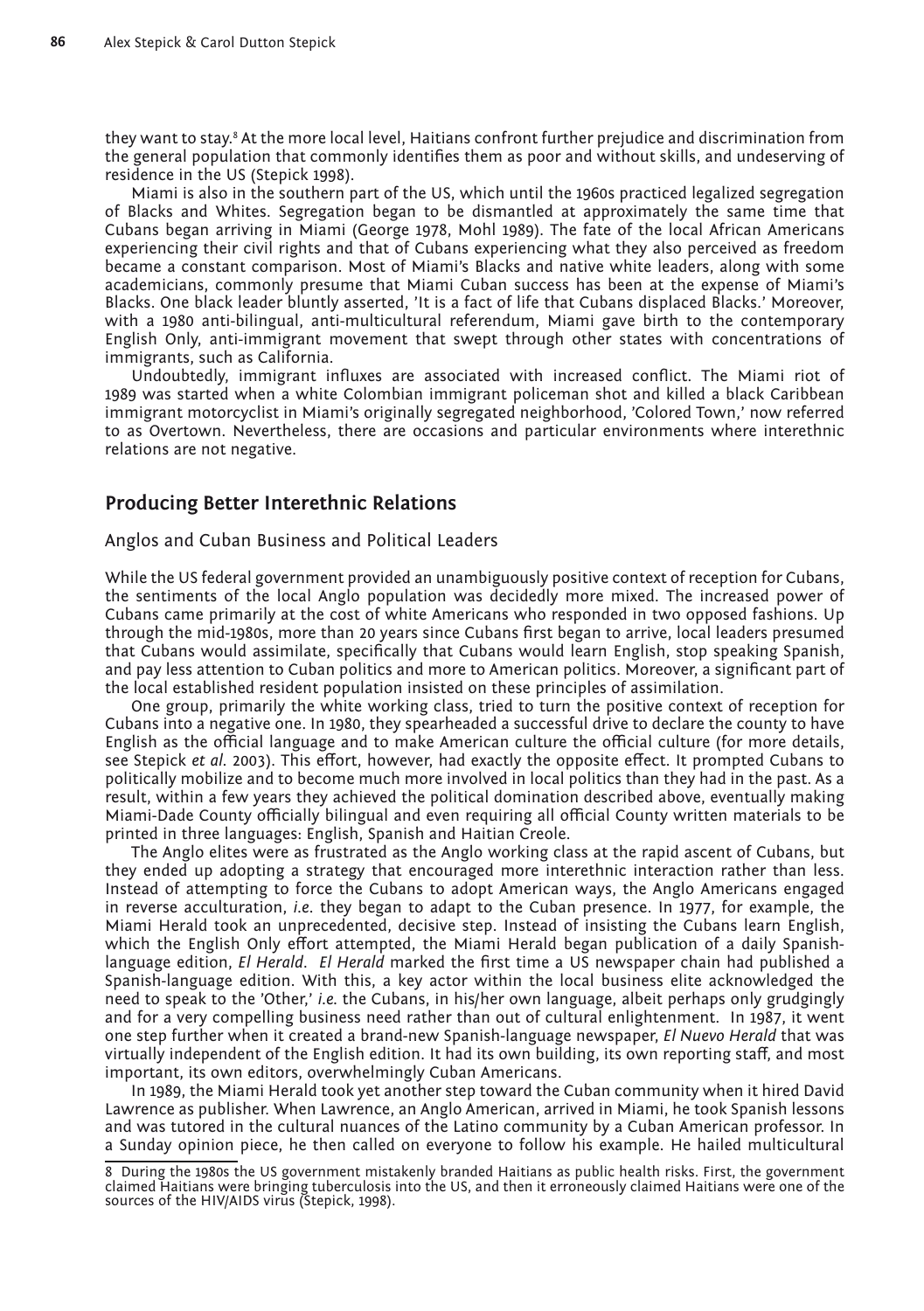they want to stay.<sup>8</sup> At the more local level, Haitians confront further prejudice and discrimination from the general population that commonly identifies them as poor and without skills, and undeserving of residence in the US (Stepick 1998).

Miami is also in the southern part of the US, which until the 1960s practiced legalized segregation of Blacks and Whites. Segregation began to be dismantled at approximately the same time that Cubans began arriving in Miami (George 1978, Mohl 1989). The fate of the local African Americans experiencing their civil rights and that of Cubans experiencing what they also perceived as freedom became a constant comparison. Most of Miami's Blacks and native white leaders, along with some academicians, commonly presume that Miami Cuban success has been at the expense of Miami's Blacks. One black leader bluntly asserted, 'It is a fact of life that Cubans displaced Blacks.' Moreover, with a 1980 anti-bilingual, anti-multicultural referendum, Miami gave birth to the contemporary English Only, anti-immigrant movement that swept through other states with concentrations of immigrants, such as California.

Undoubtedly, immigrant influxes are associated with increased conflict. The Miami riot of 1989 was started when a white Colombian immigrant policeman shot and killed a black Caribbean immigrant motorcyclist in Miami's originally segregated neighborhood, 'Colored Town,' now referred to as Overtown. Nevertheless, there are occasions and particular environments where interethnic relations are not negative.

## **Producing Better Interethnic Relations**

Anglos and Cuban Business and Political Leaders

While the US federal government provided an unambiguously positive context of reception for Cubans, the sentiments of the local Anglo population was decidedly more mixed. The increased power of Cubans came primarily at the cost of white Americans who responded in two opposed fashions. Up through the mid-1980s, more than 20 years since Cubans first began to arrive, local leaders presumed that Cubans would assimilate, specifically that Cubans would learn English, stop speaking Spanish, and pay less attention to Cuban politics and more to American politics. Moreover, a significant part of the local established resident population insisted on these principles of assimilation.

One group, primarily the white working class, tried to turn the positive context of reception for Cubans into a negative one. In 1980, they spearheaded a successful drive to declare the county to have English as the official language and to make American culture the official culture (for more details, see Stepick *et al.* 2003). This effort, however, had exactly the opposite effect. It prompted Cubans to politically mobilize and to become much more involved in local politics than they had in the past. As a result, within a few years they achieved the political domination described above, eventually making Miami-Dade County officially bilingual and even requiring all official County written materials to be printed in three languages: English, Spanish and Haitian Creole.

The Anglo elites were as frustrated as the Anglo working class at the rapid ascent of Cubans, but they ended up adopting a strategy that encouraged more interethnic interaction rather than less. Instead of attempting to force the Cubans to adopt American ways, the Anglo Americans engaged in reverse acculturation, *i.e*. they began to adapt to the Cuban presence. In 1977, for example, the Miami Herald took an unprecedented, decisive step. Instead of insisting the Cubans learn English, which the English Only effort attempted, the Miami Herald began publication of a daily Spanishlanguage edition, *El Herald*. *El Herald* marked the first time a US newspaper chain had published a Spanish-language edition. With this, a key actor within the local business elite acknowledged the need to speak to the 'Other,' *i.e.* the Cubans, in his/her own language, albeit perhaps only grudgingly and for a very compelling business need rather than out of cultural enlightenment. In 1987, it went one step further when it created a brand-new Spanish-language newspaper, *El Nuevo Herald* that was virtually independent of the English edition. It had its own building, its own reporting staff, and most important, its own editors, overwhelmingly Cuban Americans.

In 1989, the Miami Herald took yet another step toward the Cuban community when it hired David Lawrence as publisher. When Lawrence, an Anglo American, arrived in Miami, he took Spanish lessons and was tutored in the cultural nuances of the Latino community by a Cuban American professor. In a Sunday opinion piece, he then called on everyone to follow his example. He hailed multicultural

<sup>8</sup> During the 1980s the US government mistakenly branded Haitians as public health risks. First, the government claimed Haitians were bringing tuberculosis into the US, and then it erroneously claimed Haitians were one of the sources of the HIV/AIDS virus (Stepick, 1998).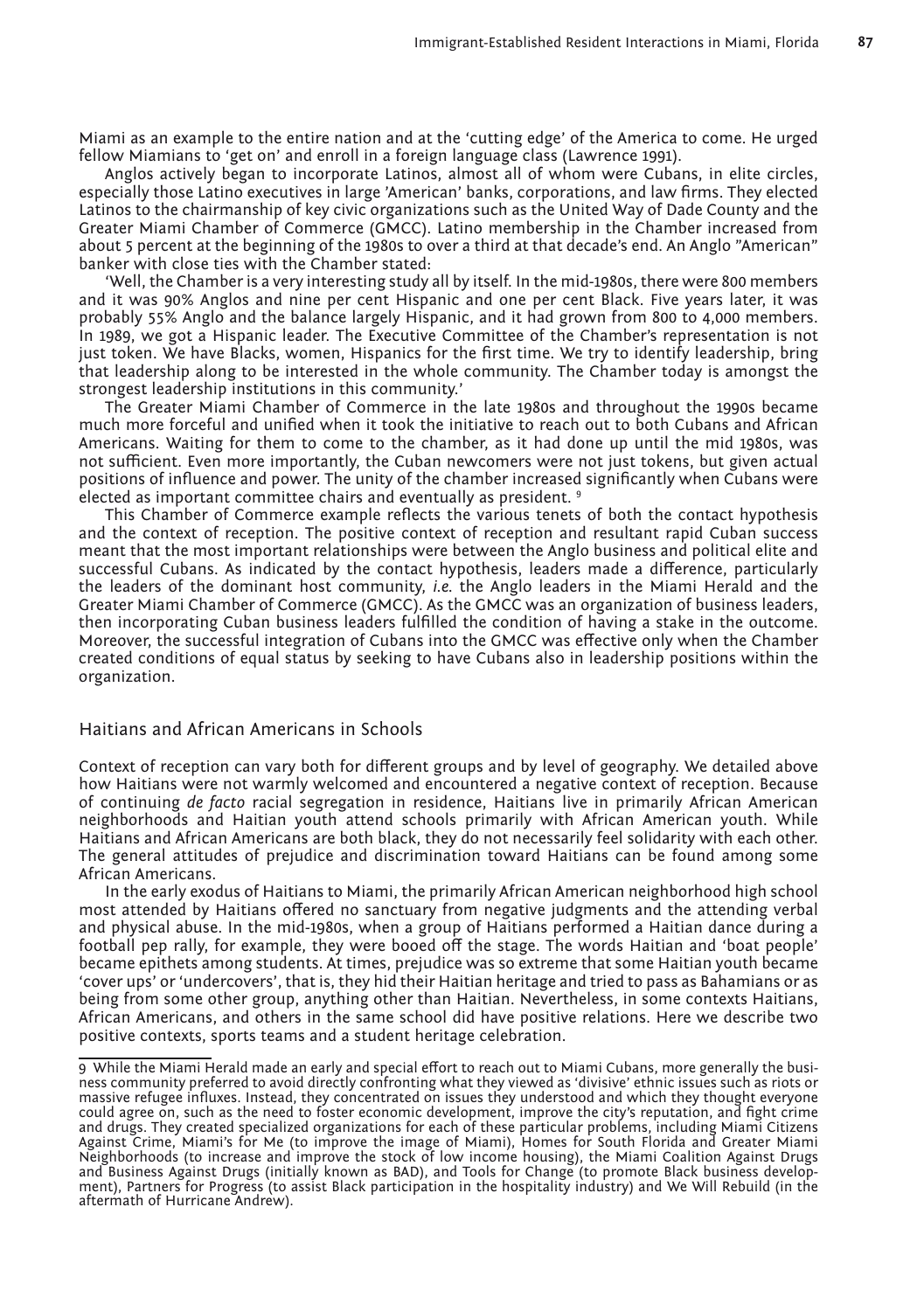Miami as an example to the entire nation and at the 'cutting edge' of the America to come. He urged fellow Miamians to 'get on' and enroll in a foreign language class (Lawrence 1991).

Anglos actively began to incorporate Latinos, almost all of whom were Cubans, in elite circles, especially those Latino executives in large 'American' banks, corporations, and law firms. They elected Latinos to the chairmanship of key civic organizations such as the United Way of Dade County and the Greater Miami Chamber of Commerce (GMCC). Latino membership in the Chamber increased from about 5 percent at the beginning of the 1980s to over a third at that decade's end. An Anglo "American" banker with close ties with the Chamber stated:

'Well, the Chamber is a very interesting study all by itself. In the mid-1980s, there were 800 members and it was 90% Anglos and nine per cent Hispanic and one per cent Black. Five years later, it was probably 55% Anglo and the balance largely Hispanic, and it had grown from 800 to 4,000 members. In 1989, we got a Hispanic leader. The Executive Committee of the Chamber's representation is not just token. We have Blacks, women, Hispanics for the first time. We try to identify leadership, bring that leadership along to be interested in the whole community. The Chamber today is amongst the strongest leadership institutions in this community.'

The Greater Miami Chamber of Commerce in the late 1980s and throughout the 1990s became much more forceful and unified when it took the initiative to reach out to both Cubans and African Americans. Waiting for them to come to the chamber, as it had done up until the mid 1980s, was not sufficient. Even more importantly, the Cuban newcomers were not just tokens, but given actual positions of influence and power. The unity of the chamber increased significantly when Cubans were elected as important committee chairs and eventually as president. 9

This Chamber of Commerce example reflects the various tenets of both the contact hypothesis and the context of reception. The positive context of reception and resultant rapid Cuban success meant that the most important relationships were between the Anglo business and political elite and successful Cubans. As indicated by the contact hypothesis, leaders made a difference, particularly the leaders of the dominant host community, *i.e.* the Anglo leaders in the Miami Herald and the Greater Miami Chamber of Commerce (GMCC). As the GMCC was an organization of business leaders, then incorporating Cuban business leaders fulfilled the condition of having a stake in the outcome. Moreover, the successful integration of Cubans into the GMCC was effective only when the Chamber created conditions of equal status by seeking to have Cubans also in leadership positions within the organization.

#### Haitians and African Americans in Schools

Context of reception can vary both for different groups and by level of geography. We detailed above how Haitians were not warmly welcomed and encountered a negative context of reception. Because of continuing *de facto* racial segregation in residence, Haitians live in primarily African American neighborhoods and Haitian youth attend schools primarily with African American youth. While Haitians and African Americans are both black, they do not necessarily feel solidarity with each other. The general attitudes of prejudice and discrimination toward Haitians can be found among some African Americans.

In the early exodus of Haitians to Miami, the primarily African American neighborhood high school most attended by Haitians offered no sanctuary from negative judgments and the attending verbal and physical abuse. In the mid-1980s, when a group of Haitians performed a Haitian dance during a football pep rally, for example, they were booed off the stage. The words Haitian and 'boat people' became epithets among students. At times, prejudice was so extreme that some Haitian youth became 'cover ups' or 'undercovers', that is, they hid their Haitian heritage and tried to pass as Bahamians or as being from some other group, anything other than Haitian. Nevertheless, in some contexts Haitians, African Americans, and others in the same school did have positive relations. Here we describe two positive contexts, sports teams and a student heritage celebration.

<sup>9</sup> While the Miami Herald made an early and special effort to reach out to Miami Cubans, more generally the business community preferred to avoid directly confronting what they viewed as 'divisive' ethnic issues such as riots or massive refugee influxes. Instead, they concentrated on issues they understood and which they thought everyone could agree on, such as the need to foster economic development, improve the city's reputation, and fight crime and drugs. They created specialized organizations for each of these particular problems, including Miami Citizens Against Crime, Miami's for Me (to improve the image of Miami), Homes for South Florida and Greater Miami Neighborhoods (to increase and improve the stock of low income housing), the Miami Coalition Against Drugs and Business Against Drugs (initially known as BAD), and Tools for Change (to promote Black business develop-<br>ment), Partners for Progress (to assist Black participation in the hospitality industry) and We Will Rebuild (in aftermath of Hurricane Andrew).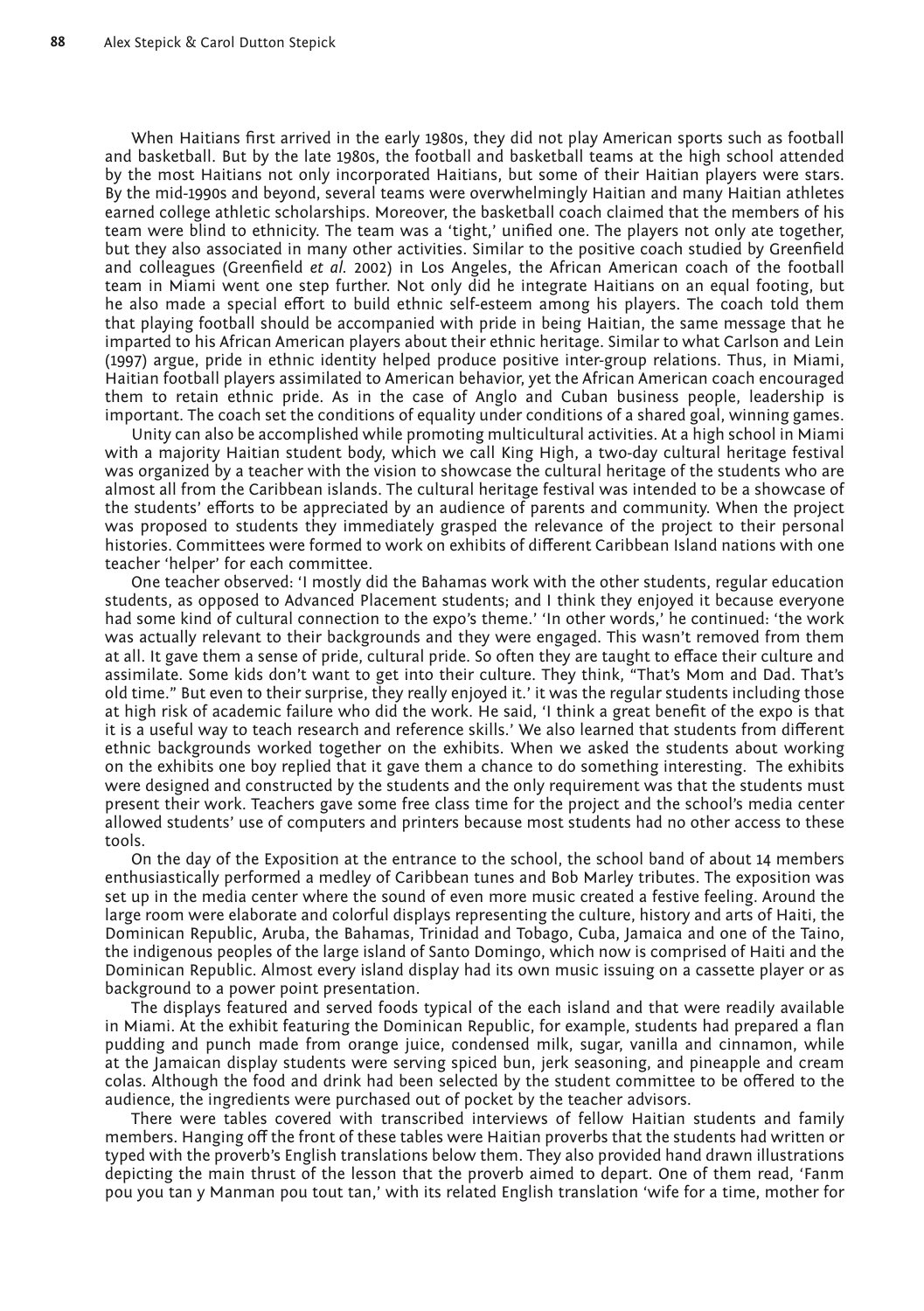When Haitians first arrived in the early 1980s, they did not play American sports such as football and basketball. But by the late 1980s, the football and basketball teams at the high school attended by the most Haitians not only incorporated Haitians, but some of their Haitian players were stars. By the mid-1990s and beyond, several teams were overwhelmingly Haitian and many Haitian athletes earned college athletic scholarships. Moreover, the basketball coach claimed that the members of his team were blind to ethnicity. The team was a 'tight,' unified one. The players not only ate together, but they also associated in many other activities. Similar to the positive coach studied by Greenfield and colleagues (Greenfield *et al.* 2002) in Los Angeles, the African American coach of the football team in Miami went one step further. Not only did he integrate Haitians on an equal footing, but he also made a special effort to build ethnic self-esteem among his players. The coach told them that playing football should be accompanied with pride in being Haitian, the same message that he imparted to his African American players about their ethnic heritage. Similar to what Carlson and Lein (1997) argue, pride in ethnic identity helped produce positive inter-group relations. Thus, in Miami, Haitian football players assimilated to American behavior, yet the African American coach encouraged them to retain ethnic pride. As in the case of Anglo and Cuban business people, leadership is important. The coach set the conditions of equality under conditions of a shared goal, winning games.

Unity can also be accomplished while promoting multicultural activities. At a high school in Miami with a majority Haitian student body, which we call King High, a two-day cultural heritage festival was organized by a teacher with the vision to showcase the cultural heritage of the students who are almost all from the Caribbean islands. The cultural heritage festival was intended to be a showcase of the students' efforts to be appreciated by an audience of parents and community. When the project was proposed to students they immediately grasped the relevance of the project to their personal histories. Committees were formed to work on exhibits of different Caribbean Island nations with one teacher 'helper' for each committee.

One teacher observed: 'I mostly did the Bahamas work with the other students, regular education students, as opposed to Advanced Placement students; and I think they enjoyed it because everyone had some kind of cultural connection to the expo's theme.' 'In other words,' he continued: 'the work was actually relevant to their backgrounds and they were engaged. This wasn't removed from them at all. It gave them a sense of pride, cultural pride. So often they are taught to efface their culture and assimilate. Some kids don't want to get into their culture. They think, "That's Mom and Dad. That's old time." But even to their surprise, they really enjoyed it.' it was the regular students including those at high risk of academic failure who did the work. He said, 'I think a great benefit of the expo is that it is a useful way to teach research and reference skills.' We also learned that students from different ethnic backgrounds worked together on the exhibits. When we asked the students about working on the exhibits one boy replied that it gave them a chance to do something interesting. The exhibits were designed and constructed by the students and the only requirement was that the students must present their work. Teachers gave some free class time for the project and the school's media center allowed students' use of computers and printers because most students had no other access to these tools.

On the day of the Exposition at the entrance to the school, the school band of about 14 members enthusiastically performed a medley of Caribbean tunes and Bob Marley tributes. The exposition was set up in the media center where the sound of even more music created a festive feeling. Around the large room were elaborate and colorful displays representing the culture, history and arts of Haiti, the Dominican Republic, Aruba, the Bahamas, Trinidad and Tobago, Cuba, Jamaica and one of the Taino, the indigenous peoples of the large island of Santo Domingo, which now is comprised of Haiti and the Dominican Republic. Almost every island display had its own music issuing on a cassette player or as background to a power point presentation.

The displays featured and served foods typical of the each island and that were readily available in Miami. At the exhibit featuring the Dominican Republic, for example, students had prepared a flan pudding and punch made from orange juice, condensed milk, sugar, vanilla and cinnamon, while at the Jamaican display students were serving spiced bun, jerk seasoning, and pineapple and cream colas. Although the food and drink had been selected by the student committee to be offered to the audience, the ingredients were purchased out of pocket by the teacher advisors.

There were tables covered with transcribed interviews of fellow Haitian students and family members. Hanging off the front of these tables were Haitian proverbs that the students had written or typed with the proverb's English translations below them. They also provided hand drawn illustrations depicting the main thrust of the lesson that the proverb aimed to depart. One of them read, 'Fanm pou you tan y Manman pou tout tan,' with its related English translation 'wife for a time, mother for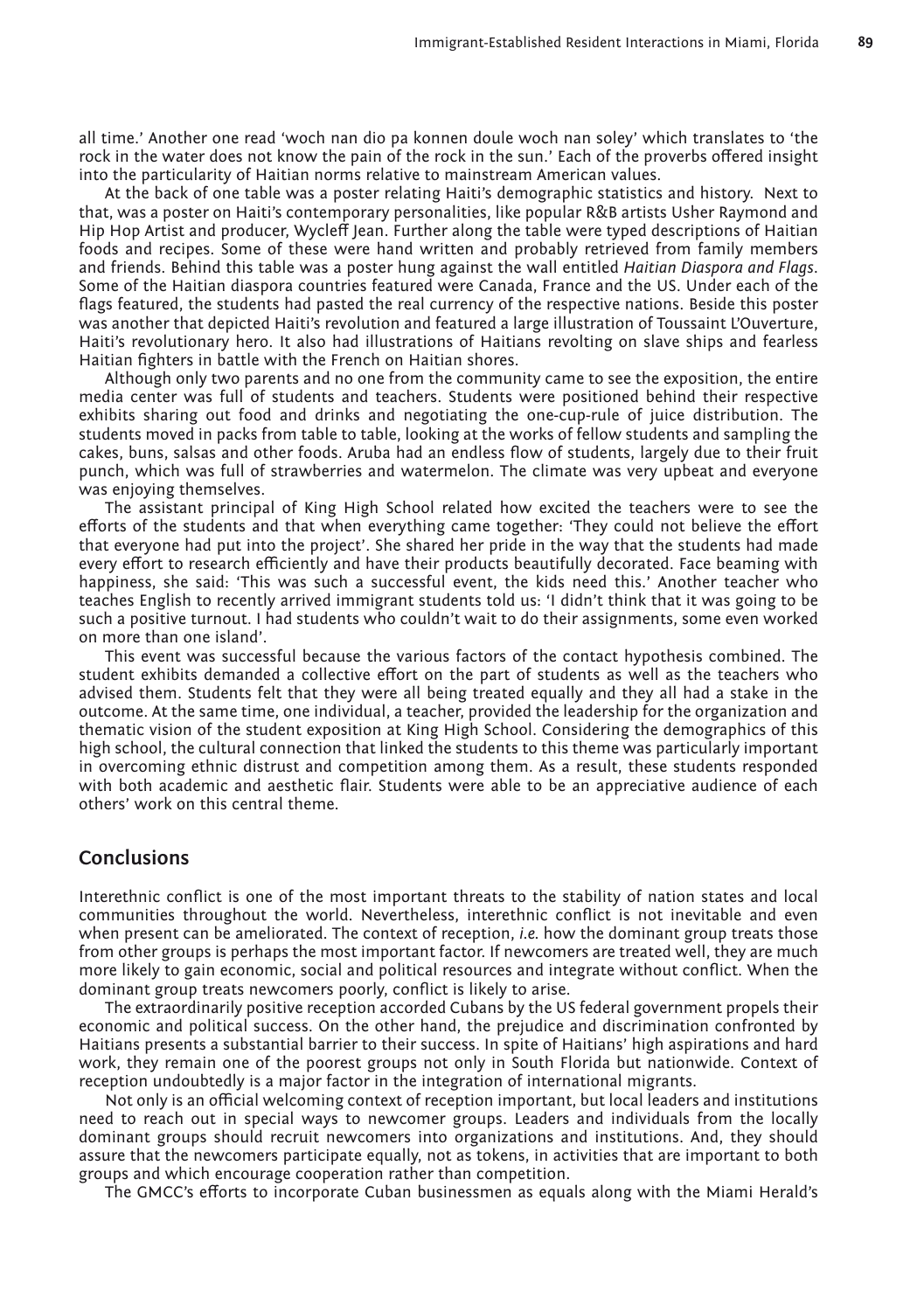all time.' Another one read 'woch nan dio pa konnen doule woch nan soley' which translates to 'the rock in the water does not know the pain of the rock in the sun.' Each of the proverbs offered insight into the particularity of Haitian norms relative to mainstream American values.

At the back of one table was a poster relating Haiti's demographic statistics and history. Next to that, was a poster on Haiti's contemporary personalities, like popular R&B artists Usher Raymond and Hip Hop Artist and producer, Wycleff Jean. Further along the table were typed descriptions of Haitian foods and recipes. Some of these were hand written and probably retrieved from family members and friends. Behind this table was a poster hung against the wall entitled *Haitian Diaspora and Flags*. Some of the Haitian diaspora countries featured were Canada, France and the US. Under each of the flags featured, the students had pasted the real currency of the respective nations. Beside this poster was another that depicted Haiti's revolution and featured a large illustration of Toussaint L'Ouverture, Haiti's revolutionary hero. It also had illustrations of Haitians revolting on slave ships and fearless Haitian fighters in battle with the French on Haitian shores.

Although only two parents and no one from the community came to see the exposition, the entire media center was full of students and teachers. Students were positioned behind their respective exhibits sharing out food and drinks and negotiating the one-cup-rule of juice distribution. The students moved in packs from table to table, looking at the works of fellow students and sampling the cakes, buns, salsas and other foods. Aruba had an endless flow of students, largely due to their fruit punch, which was full of strawberries and watermelon. The climate was very upbeat and everyone was enjoying themselves.

The assistant principal of King High School related how excited the teachers were to see the efforts of the students and that when everything came together: 'They could not believe the effort that everyone had put into the project'. She shared her pride in the way that the students had made every effort to research efficiently and have their products beautifully decorated. Face beaming with happiness, she said: 'This was such a successful event, the kids need this.' Another teacher who teaches English to recently arrived immigrant students told us: 'I didn't think that it was going to be such a positive turnout. I had students who couldn't wait to do their assignments, some even worked on more than one island'.

This event was successful because the various factors of the contact hypothesis combined. The student exhibits demanded a collective effort on the part of students as well as the teachers who advised them. Students felt that they were all being treated equally and they all had a stake in the outcome. At the same time, one individual, a teacher, provided the leadership for the organization and thematic vision of the student exposition at King High School. Considering the demographics of this high school, the cultural connection that linked the students to this theme was particularly important in overcoming ethnic distrust and competition among them. As a result, these students responded with both academic and aesthetic flair. Students were able to be an appreciative audience of each others' work on this central theme.

## **Conclusions**

Interethnic conflict is one of the most important threats to the stability of nation states and local communities throughout the world. Nevertheless, interethnic conflict is not inevitable and even when present can be ameliorated. The context of reception, *i.e.* how the dominant group treats those from other groups is perhaps the most important factor. If newcomers are treated well, they are much more likely to gain economic, social and political resources and integrate without conflict. When the dominant group treats newcomers poorly, conflict is likely to arise.

The extraordinarily positive reception accorded Cubans by the US federal government propels their economic and political success. On the other hand, the prejudice and discrimination confronted by Haitians presents a substantial barrier to their success. In spite of Haitians' high aspirations and hard work, they remain one of the poorest groups not only in South Florida but nationwide. Context of reception undoubtedly is a major factor in the integration of international migrants.

Not only is an official welcoming context of reception important, but local leaders and institutions need to reach out in special ways to newcomer groups. Leaders and individuals from the locally dominant groups should recruit newcomers into organizations and institutions. And, they should assure that the newcomers participate equally, not as tokens, in activities that are important to both groups and which encourage cooperation rather than competition.

The GMCC's efforts to incorporate Cuban businessmen as equals along with the Miami Herald's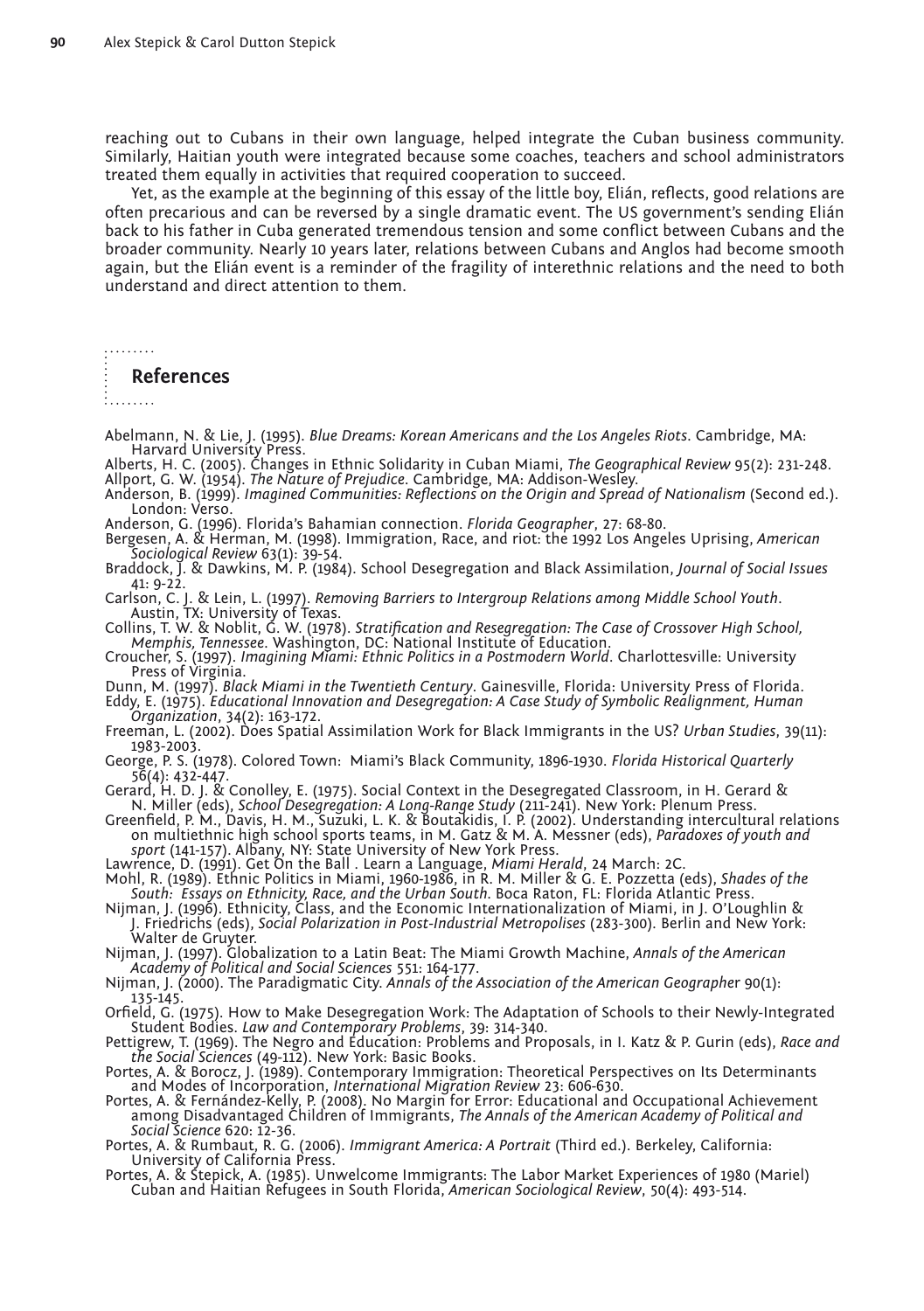reaching out to Cubans in their own language, helped integrate the Cuban business community. Similarly, Haitian youth were integrated because some coaches, teachers and school administrators treated them equally in activities that required cooperation to succeed.

Yet, as the example at the beginning of this essay of the little boy, Elián, reflects, good relations are often precarious and can be reversed by a single dramatic event. The US government's sending Elián back to his father in Cuba generated tremendous tension and some conflict between Cubans and the broader community. Nearly 10 years later, relations between Cubans and Anglos had become smooth again, but the Elián event is a reminder of the fragility of interethnic relations and the need to both understand and direct attention to them.

#### **References**

- 
- 
- Abelmann, N. & Lie, J. (1995). *Blue Dreams: Korean Americans and the Los Angeles Riots*. Cambridge, MA:<br>Harvard University Press.<br>Alberts, H. C. (2005). Changes in Ethnic Solidarity in Cuban Miami, *The Geographical Revie*
- 
- Anderson, G. (1996). Florida's Bahamian connection. *Florida Geographer*, 27: 68-80. Bergesen, A. & Herman, M. (1998). Immigration, Race, and riot: the 1992 Los Angeles Uprising, *American*
- *Sociological Review* 63(1): 39-54. Braddock, J. & Dawkins, M. P. (1984). School Desegregation and Black Assimilation, *Journal of Social Issues*
- 41: 9-22.<br>Carlson, C. J. & Lein, L. (1997). Removing Barriers to Intergroup Relations among Middle School Youth.
- Austin, TX: University of Texas.<br>Collins, T. W. & Noblit, G. W. (1978). Stratification and Resegregation: The Case of Crossover High School,<br>Memphis, Tennessee. Washington, DC: National Institute of Education.<br>Croucher, S.
- 
- 
- Dunn, M. (1997). *Black Miami in the Twentieth Century*. Gainesville, Florida: University Press of Florida. Eddy, E. (1975). *Educational Innovation and Desegregation: A Case Study of Symbolic Realignment, Human Organization*, 34(2): 163-172. Freeman, L. (2002). Does Spatial Assimilation Work for Black Immigrants in the US? *Urban Studies*, 39(11):
- 1983-2003.
- George, P. S. (1978). Colored Town: Miami's Black Community, 1896-1930. *Florida Historical Quarterly*
- 
- Gerard, H. D. J. & Conolley, E. (1975). Social Context in the Desegregated Classroom, in H. Gerard &<br>N. Miller (eds), *School Desegregation: A Long-Range Study* (211-241). New York: Plenum Press.<br>Greenfield, P. M., Davis,
- Lawrence, D. (1991). Get On the Ball . Learn a Language, *Miami Herald*, 24 March: 2C.
- Mohl, R. (1989). Ethnic Politics in Miami, 1960-1986, in R. M. Miller & G. E. Pozzetta (eds), *Shades of the South: Essays on Ethnicity, Race, and the Urban South.* Boca Raton, FL: Florida Atlantic Press.
- Nijman, J. (1996). Ethnicity, Class, and the Economic Internationalization of Miami, in J. O'Loughlin &<br>J. Friedrichs (eds), *Social Polarization in Post-Industrial Metropolises* (283-300). Berlin and New York:<br>Walter de G
- 
- 135-145.
- Orfield, G. (1975). How to Make Desegregation Work: The Adaptation of Schools to their Newly-Integrated Student Bodies. *Law and Contemporary Problems*, 39: 314-340.
- Pettigrew, T. (1969). The Negro and Education: Problems and Proposals, in I. Katz & P. Gurin (eds), *Race and*
- the Social Sciences (49-112). New York: Basic Books.<br>Portes, A. & Borocz, J. (1989). Contemporary Immigration: Theoretical Perspectives on Its Determinants<br>and Modes of Incorporation, International Migration Review 23: 606
- Portes, A. & Fernández-Kelly, P. (2008). No Margin for Error: Educational and Occupational Achievement<br>among Disadvantaged Children of Immigrants, *The Annals of the American Academy of Political and*<br>Social Science 620: 1
- 
- Portes, A. & Stepick, A. (1985). Unwelcome Immigrants: The Labor Market Experiences of 1980 (Mariel)<br>Cuban and Haitian Refugees in South Florida, *American Sociological Review*, 50(4): 493-514.